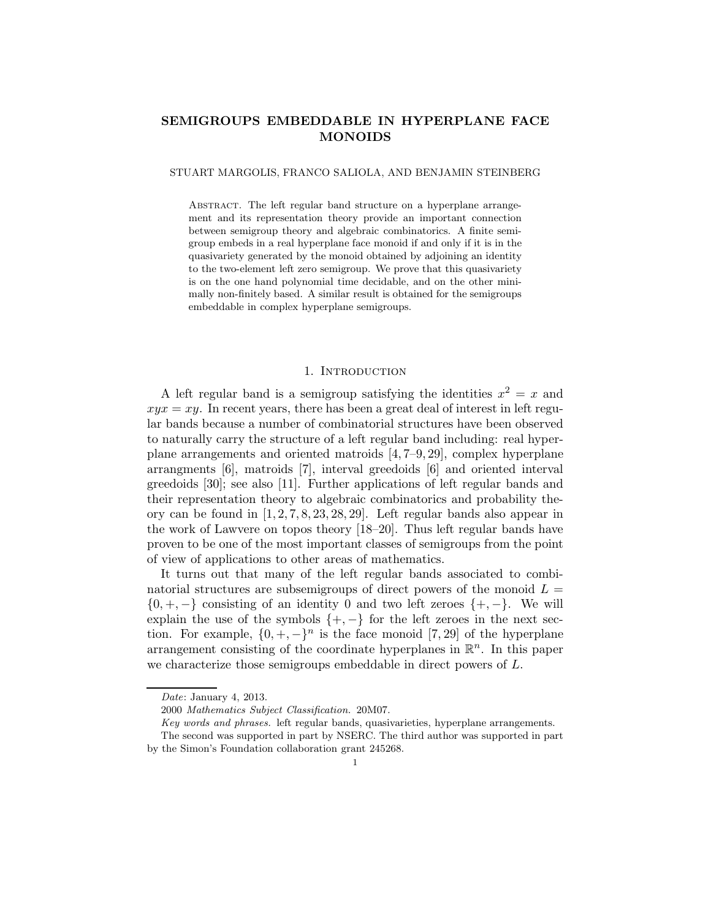# **SEMIGROUPS EMBEDDABLE IN HYPERPLANE FACE MONOIDS**

### STUART MARGOLIS, FRANCO SALIOLA, AND BENJAMIN STEINBERG

ABSTRACT. The left regular band structure on a hyperplane arrangement and its representation theory provide an important connection between semigroup theory and algebraic combinatorics. A finite semigroup embeds in a real hyperplane face monoid if and only if it is in the quasivariety generated by the monoid obtained by adjoining an identity to the two-element left zero semigroup. We prove that this quasivariety is on the one hand polynomial time decidable, and on the other minimally non-finitely based. A similar result is obtained for the semigroups embeddable in complex hyperplane semigroups.

# 1. INTRODUCTION

A left regular band is a semigroup satisfying the identities  $x^2 = x$  and  $xyx = xy$ . In recent years, there has been a great deal of interest in left regular bands because a number of combinatorial structures have been observed to naturally carry the structure of a left regular band including: real hyperplane arrangements and oriented matroids [4, 7–9, 29], complex hyperplane arrangments [6], matroids [7], interval greedoids [6] and oriented interval greedoids [30]; see also [11]. Further applications of left regular bands and their representation theory to algebraic combinatorics and probability theory can be found in  $[1, 2, 7, 8, 23, 28, 29]$ . Left regular bands also appear in the work of Lawvere on topos theory [18–20]. Thus left regular bands have proven to be one of the most important classes of semigroups from the point of view of applications to other areas of mathematics.

It turns out that many of the left regular bands associated to combinatorial structures are subsemigroups of direct powers of the monoid  $L =$  $\{0, +, -\}$  consisting of an identity 0 and two left zeroes  $\{+, -\}$ . We will explain the use of the symbols  $\{+, -\}$  for the left zeroes in the next section. For example,  $\{0, +, -\}^n$  is the face monoid [7, 29] of the hyperplane arrangement consisting of the coordinate hyperplanes in  $\mathbb{R}^n$ . In this paper we characterize those semigroups embeddable in direct powers of L.

Date: January 4, 2013.

<sup>2000</sup> Mathematics Subject Classification. 20M07.

Key words and phrases. left regular bands, quasivarieties, hyperplane arrangements.

The second was supported in part by NSERC. The third author was supported in part by the Simon's Foundation collaboration grant 245268.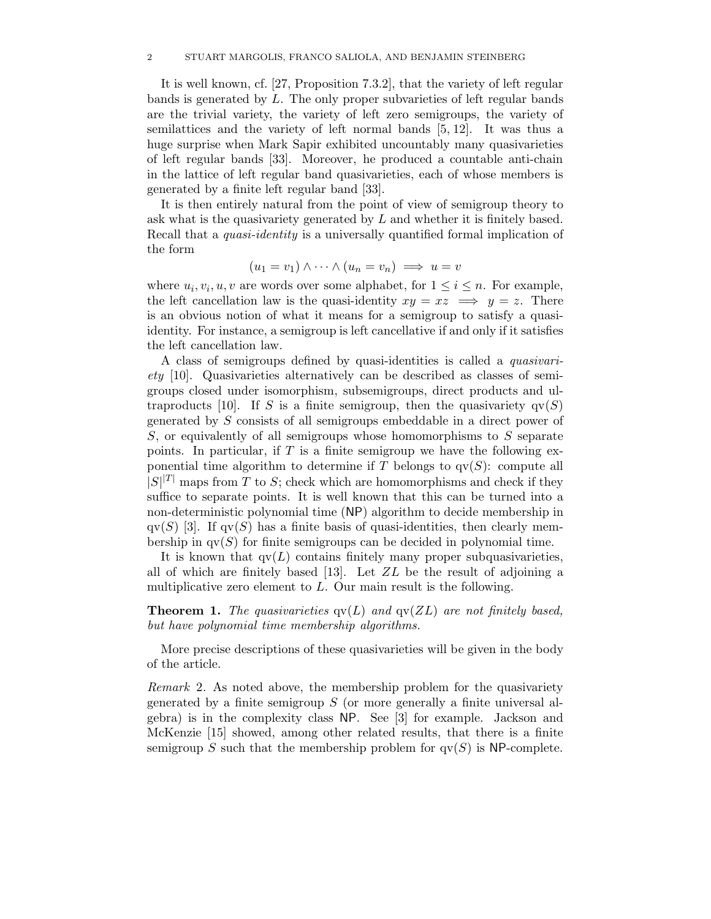#### 2 STUART MARGOLIS, FRANCO SALIOLA, AND BENJAMIN STEINBERG

It is well known, cf. [27, Proposition 7.3.2], that the variety of left regular bands is generated by L. The only proper subvarieties of left regular bands are the trivial variety, the variety of left zero semigroups, the variety of semilattices and the variety of left normal bands [5, 12]. It was thus a huge surprise when Mark Sapir exhibited uncountably many quasivarieties of left regular bands [33]. Moreover, he produced a countable anti-chain in the lattice of left regular band quasivarieties, each of whose members is generated by a finite left regular band [33].

It is then entirely natural from the point of view of semigroup theory to ask what is the quasivariety generated by L and whether it is finitely based. Recall that a *quasi-identity* is a universally quantified formal implication of the form

$$
(u_1 = v_1) \wedge \cdots \wedge (u_n = v_n) \implies u = v
$$

where  $u_i, v_i, u, v$  are words over some alphabet, for  $1 \leq i \leq n$ . For example, the left cancellation law is the quasi-identity  $xy = xz \implies y = z$ . There is an obvious notion of what it means for a semigroup to satisfy a quasiidentity. For instance, a semigroup is left cancellative if and only if it satisfies the left cancellation law.

A class of semigroups defined by quasi-identities is called a *quasivariety* [10]. Quasivarieties alternatively can be described as classes of semigroups closed under isomorphism, subsemigroups, direct products and ultraproducts [10]. If S is a finite semigroup, then the quasivariety  $qv(S)$ generated by S consists of all semigroups embeddable in a direct power of S, or equivalently of all semigroups whose homomorphisms to S separate points. In particular, if  $T$  is a finite semigroup we have the following exponential time algorithm to determine if T belongs to  $qv(S)$ : compute all  $|S|^{|T|}$  maps from T to S; check which are homomorphisms and check if they suffice to separate points. It is well known that this can be turned into a non-deterministic polynomial time (NP) algorithm to decide membership in  $\alpha$ (S) [3]. If  $\alpha$ (S) has a finite basis of quasi-identities, then clearly membership in  $qv(S)$  for finite semigroups can be decided in polynomial time.

It is known that  $qv(L)$  contains finitely many proper subquasivarieties, all of which are finitely based [13]. Let  $ZL$  be the result of adjoining a multiplicative zero element to  $L$ . Our main result is the following.

**Theorem 1.** The quasivarieties  $qv(L)$  and  $qv(ZL)$  are not finitely based, *but have polynomial time membership algorithms.*

More precise descriptions of these quasivarieties will be given in the body of the article.

*Remark* 2*.* As noted above, the membership problem for the quasivariety generated by a finite semigroup  $S$  (or more generally a finite universal algebra) is in the complexity class NP. See [3] for example. Jackson and McKenzie [15] showed, among other related results, that there is a finite semigroup S such that the membership problem for  $qv(S)$  is NP-complete.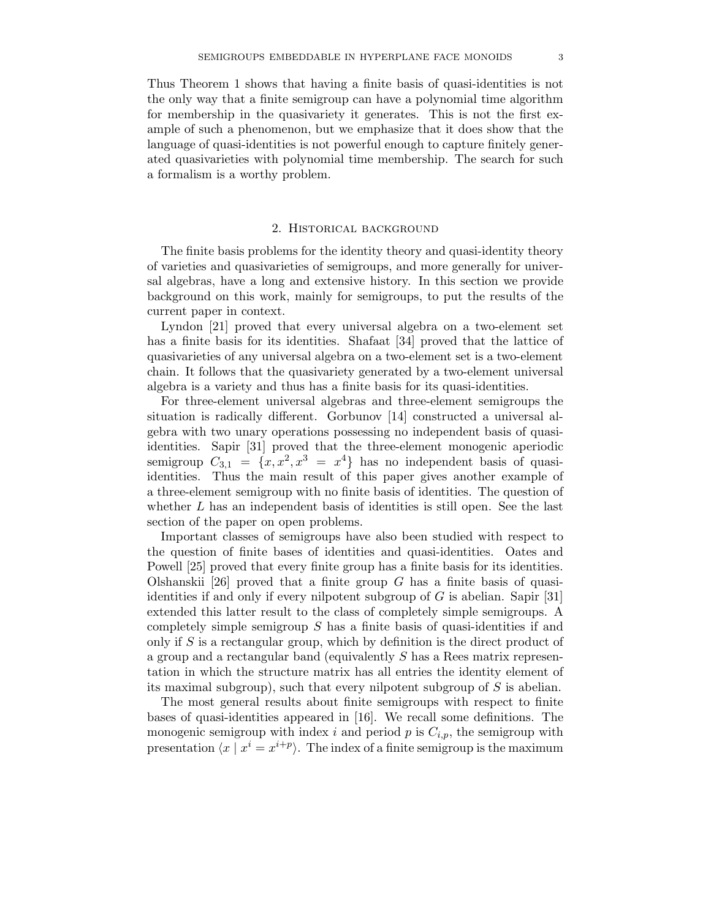Thus Theorem 1 shows that having a finite basis of quasi-identities is not the only way that a finite semigroup can have a polynomial time algorithm for membership in the quasivariety it generates. This is not the first example of such a phenomenon, but we emphasize that it does show that the language of quasi-identities is not powerful enough to capture finitely generated quasivarieties with polynomial time membership. The search for such a formalism is a worthy problem.

# 2. Historical background

The finite basis problems for the identity theory and quasi-identity theory of varieties and quasivarieties of semigroups, and more generally for universal algebras, have a long and extensive history. In this section we provide background on this work, mainly for semigroups, to put the results of the current paper in context.

Lyndon [21] proved that every universal algebra on a two-element set has a finite basis for its identities. Shafaat [34] proved that the lattice of quasivarieties of any universal algebra on a two-element set is a two-element chain. It follows that the quasivariety generated by a two-element universal algebra is a variety and thus has a finite basis for its quasi-identities.

For three-element universal algebras and three-element semigroups the situation is radically different. Gorbunov [14] constructed a universal algebra with two unary operations possessing no independent basis of quasiidentities. Sapir [31] proved that the three-element monogenic aperiodic semigroup  $C_{3,1} = \{x, x^2, x^3 = x^4\}$  has no independent basis of quasiidentities. Thus the main result of this paper gives another example of a three-element semigroup with no finite basis of identities. The question of whether  $L$  has an independent basis of identities is still open. See the last section of the paper on open problems.

Important classes of semigroups have also been studied with respect to the question of finite bases of identities and quasi-identities. Oates and Powell [25] proved that every finite group has a finite basis for its identities. Olshanskii [26] proved that a finite group  $G$  has a finite basis of quasiidentities if and only if every nilpotent subgroup of  $G$  is abelian. Sapir [31] extended this latter result to the class of completely simple semigroups. A completely simple semigroup  $S$  has a finite basis of quasi-identities if and only if  $S$  is a rectangular group, which by definition is the direct product of a group and a rectangular band (equivalently S has a Rees matrix representation in which the structure matrix has all entries the identity element of its maximal subgroup), such that every nilpotent subgroup of  $S$  is abelian.

The most general results about finite semigroups with respect to finite bases of quasi-identities appeared in [16]. We recall some definitions. The monogenic semigroup with index i and period p is  $C_{i,p}$ , the semigroup with presentation  $\langle x | x^i = x^{i+p} \rangle$ . The index of a finite semigroup is the maximum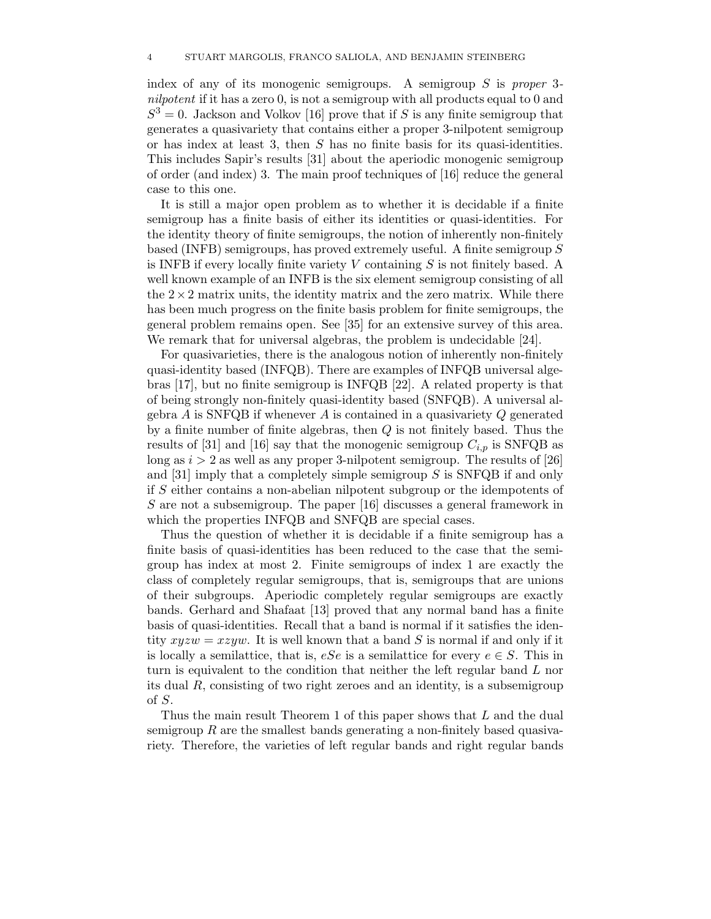index of any of its monogenic semigroups. A semigroup S is *proper* 3 *nilpotent* if it has a zero 0, is not a semigroup with all products equal to 0 and  $S^3 = 0$ . Jackson and Volkov [16] prove that if S is any finite semigroup that generates a quasivariety that contains either a proper 3-nilpotent semigroup or has index at least 3, then  $S$  has no finite basis for its quasi-identities. This includes Sapir's results [31] about the aperiodic monogenic semigroup of order (and index) 3. The main proof techniques of [16] reduce the general case to this one.

It is still a major open problem as to whether it is decidable if a finite semigroup has a finite basis of either its identities or quasi-identities. For the identity theory of finite semigroups, the notion of inherently non-finitely based (INFB) semigroups, has proved extremely useful. A finite semigroup S is INFB if every locally finite variety  $V$  containing  $S$  is not finitely based. A well known example of an INFB is the six element semigroup consisting of all the  $2\times 2$  matrix units, the identity matrix and the zero matrix. While there has been much progress on the finite basis problem for finite semigroups, the general problem remains open. See [35] for an extensive survey of this area. We remark that for universal algebras, the problem is undecidable [24].

For quasivarieties, there is the analogous notion of inherently non-finitely quasi-identity based (INFQB). There are examples of INFQB universal algebras [17], but no finite semigroup is INFQB [22]. A related property is that of being strongly non-finitely quasi-identity based (SNFQB). A universal algebra  $A$  is SNFQB if whenever  $A$  is contained in a quasivariety  $Q$  generated by a finite number of finite algebras, then Q is not finitely based. Thus the results of [31] and [16] say that the monogenic semigroup  $C_{i,p}$  is SNFQB as long as  $i > 2$  as well as any proper 3-nilpotent semigroup. The results of [26] and  $[31]$  imply that a completely simple semigroup S is SNFQB if and only if S either contains a non-abelian nilpotent subgroup or the idempotents of S are not a subsemigroup. The paper [16] discusses a general framework in which the properties INFQB and SNFQB are special cases.

Thus the question of whether it is decidable if a finite semigroup has a finite basis of quasi-identities has been reduced to the case that the semigroup has index at most 2. Finite semigroups of index 1 are exactly the class of completely regular semigroups, that is, semigroups that are unions of their subgroups. Aperiodic completely regular semigroups are exactly bands. Gerhard and Shafaat [13] proved that any normal band has a finite basis of quasi-identities. Recall that a band is normal if it satisfies the identity  $xyzw = xzyw$ . It is well known that a band S is normal if and only if it is locally a semilattice, that is,  $eSe$  is a semilattice for every  $e \in S$ . This in turn is equivalent to the condition that neither the left regular band L nor its dual R, consisting of two right zeroes and an identity, is a subsemigroup of S.

Thus the main result Theorem 1 of this paper shows that L and the dual semigroup R are the smallest bands generating a non-finitely based quasivariety. Therefore, the varieties of left regular bands and right regular bands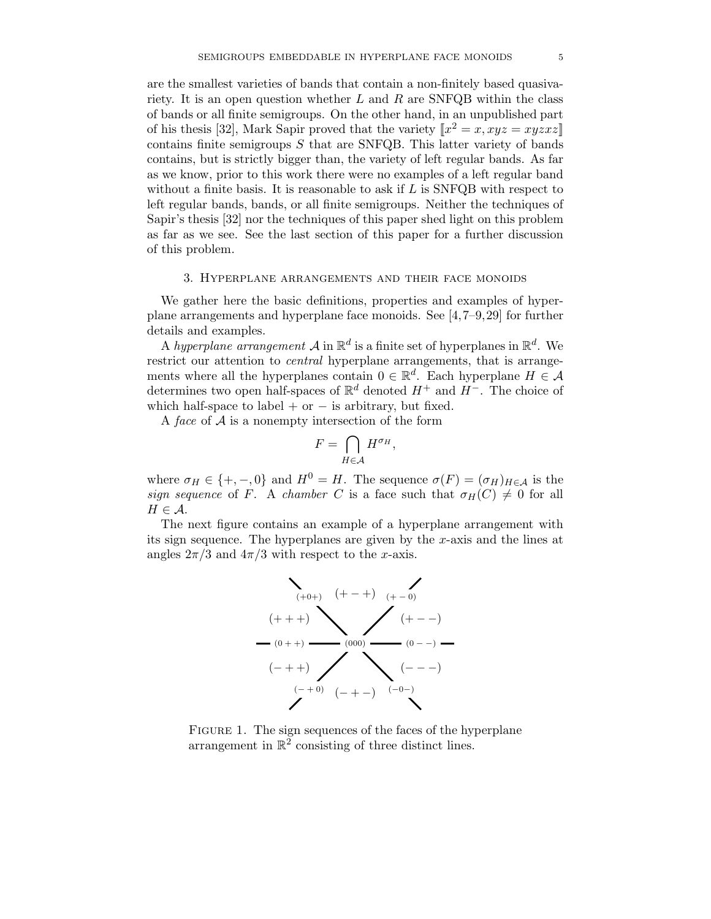are the smallest varieties of bands that contain a non-finitely based quasivariety. It is an open question whether  $L$  and  $R$  are SNFQB within the class of bands or all finite semigroups. On the other hand, in an unpublished part of his thesis [32], Mark Sapir proved that the variety  $\llbracket x^2 = x, xyz = xyzxz \rrbracket$ contains finite semigroups  $S$  that are SNFQB. This latter variety of bands contains, but is strictly bigger than, the variety of left regular bands. As far as we know, prior to this work there were no examples of a left regular band without a finite basis. It is reasonable to ask if  $L$  is SNFQB with respect to left regular bands, bands, or all finite semigroups. Neither the techniques of Sapir's thesis [32] nor the techniques of this paper shed light on this problem as far as we see. See the last section of this paper for a further discussion of this problem.

#### 3. Hyperplane arrangements and their face monoids

We gather here the basic definitions, properties and examples of hyperplane arrangements and hyperplane face monoids. See [4,7–9,29] for further details and examples.

A *hyperplane arrangement*  $\mathcal{A}$  in  $\mathbb{R}^d$  is a finite set of hyperplanes in  $\mathbb{R}^d$ . We restrict our attention to *central* hyperplane arrangements, that is arrangements where all the hyperplanes contain  $0 \in \mathbb{R}^d$ . Each hyperplane  $H \in \mathcal{A}$ determines two open half-spaces of  $\mathbb{R}^d$  denoted  $H^+$  and  $H^-$ . The choice of which half-space to label + or  $-$  is arbitrary, but fixed.

A *face* of A is a nonempty intersection of the form

$$
F=\bigcap_{H\in\mathcal{A}}H^{\sigma_H},
$$

where  $\sigma_H \in \{+, -, 0\}$  and  $H^0 = H$ . The sequence  $\sigma(F) = (\sigma_H)_{H \in \mathcal{A}}$  is the *sign sequence* of F. A *chamber* C is a face such that  $\sigma_H(C) \neq 0$  for all  $H \in \mathcal{A}$ .

The next figure contains an example of a hyperplane arrangement with its sign sequence. The hyperplanes are given by the  $x$ -axis and the lines at angles  $2\pi/3$  and  $4\pi/3$  with respect to the x-axis.



FIGURE 1. The sign sequences of the faces of the hyperplane arrangement in  $\mathbb{R}^2$  consisting of three distinct lines.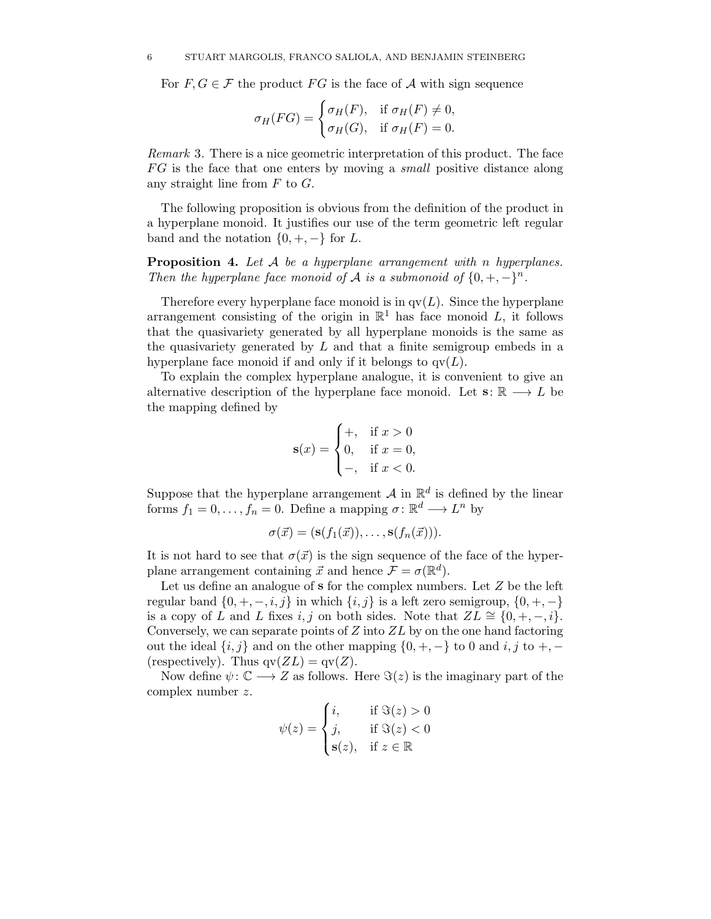For  $F, G \in \mathcal{F}$  the product  $FG$  is the face of A with sign sequence

$$
\sigma_H(FG) = \begin{cases} \sigma_H(F), & \text{if } \sigma_H(F) \neq 0, \\ \sigma_H(G), & \text{if } \sigma_H(F) = 0. \end{cases}
$$

*Remark* 3*.* There is a nice geometric interpretation of this product. The face F G is the face that one enters by moving a *small* positive distance along any straight line from  $F$  to  $G$ .

The following proposition is obvious from the definition of the product in a hyperplane monoid. It justifies our use of the term geometric left regular band and the notation  $\{0, +, -\}$  for L.

**Proposition 4.** *Let* A *be a hyperplane arrangement with* n *hyperplanes. Then the hyperplane face monoid of*  $\mathcal A$  *is a submonoid of*  $\{0, +, -\}^n$ .

Therefore every hyperplane face monoid is in  $qv(L)$ . Since the hyperplane arrangement consisting of the origin in  $\mathbb{R}^1$  has face monoid L, it follows that the quasivariety generated by all hyperplane monoids is the same as the quasivariety generated by  $L$  and that a finite semigroup embeds in a hyperplane face monoid if and only if it belongs to  $qv(L)$ .

To explain the complex hyperplane analogue, it is convenient to give an alternative description of the hyperplane face monoid. Let  $\mathbf{s}: \mathbb{R} \longrightarrow L$  be the mapping defined by

$$
\mathbf{s}(x) = \begin{cases} +, & \text{if } x > 0 \\ 0, & \text{if } x = 0, \\ -, & \text{if } x < 0. \end{cases}
$$

Suppose that the hyperplane arrangement  $A$  in  $\mathbb{R}^d$  is defined by the linear forms  $f_1 = 0, \ldots, f_n = 0$ . Define a mapping  $\sigma : \mathbb{R}^d \longrightarrow L^n$  by

$$
\sigma(\vec{x}) = (\mathbf{s}(f_1(\vec{x})), \ldots, \mathbf{s}(f_n(\vec{x}))).
$$

It is not hard to see that  $\sigma(\vec{x})$  is the sign sequence of the face of the hyperplane arrangement containing  $\vec{x}$  and hence  $\mathcal{F} = \sigma(\mathbb{R}^d)$ .

Let us define an analogue of **s** for the complex numbers. Let Z be the left regular band  $\{0, +, -, i, j\}$  in which  $\{i, j\}$  is a left zero semigroup,  $\{0, +, -\}$ is a copy of L and L fixes i, j on both sides. Note that  $ZL \cong \{0, +, -, i\}.$ Conversely, we can separate points of  $Z$  into  $ZL$  by on the one hand factoring out the ideal  $\{i, j\}$  and on the other mapping  $\{0, +, -\}$  to 0 and i, j to  $+$ ,  $-$ (respectively). Thus  $qv(ZL) = qv(Z)$ .

Now define  $\psi: \mathbb{C} \longrightarrow Z$  as follows. Here  $\Im(z)$  is the imaginary part of the complex number z.

$$
\psi(z) = \begin{cases} i, & \text{if } \Im(z) > 0 \\ j, & \text{if } \Im(z) < 0 \\ \mathbf{s}(z), & \text{if } z \in \mathbb{R} \end{cases}
$$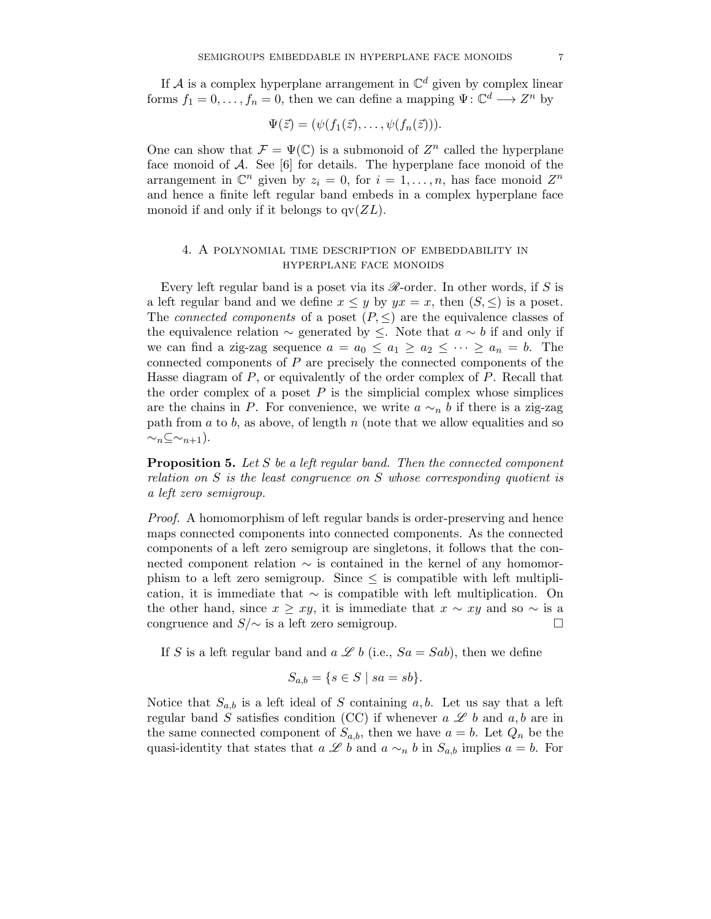If A is a complex hyperplane arrangement in  $\mathbb{C}^d$  given by complex linear forms  $f_1 = 0, \ldots, f_n = 0$ , then we can define a mapping  $\Psi: \mathbb{C}^d \longrightarrow \mathbb{Z}^n$  by

$$
\Psi(\vec{z})=(\psi(f_1(\vec{z}),\ldots,\psi(f_n(\vec{z}))).
$$

One can show that  $\mathcal{F} = \Psi(\mathbb{C})$  is a submonoid of  $Z^n$  called the hyperplane face monoid of  $A$ . See [6] for details. The hyperplane face monoid of the arrangement in  $\mathbb{C}^n$  given by  $z_i = 0$ , for  $i = 1, \ldots, n$ , has face monoid  $Z^n$ and hence a finite left regular band embeds in a complex hyperplane face monoid if and only if it belongs to  $qv(ZL)$ .

# 4. A polynomial time description of embeddability in hyperplane face monoids

Every left regular band is a poset via its *R*-order. In other words, if S is a left regular band and we define  $x \leq y$  by  $yx = x$ , then  $(S, \leq)$  is a poset. The *connected components* of a poset  $(P, \leq)$  are the equivalence classes of the equivalence relation  $\sim$  generated by  $\leq$ . Note that  $a \sim b$  if and only if we can find a zig-zag sequence  $a = a_0 \le a_1 \ge a_2 \le \cdots \ge a_n = b$ . The connected components of P are precisely the connected components of the Hasse diagram of  $P$ , or equivalently of the order complex of  $P$ . Recall that the order complex of a poset  $P$  is the simplicial complex whose simplices are the chains in P. For convenience, we write  $a \sim_n b$  if there is a zig-zag path from  $a$  to  $b$ , as above, of length  $n$  (note that we allow equalities and so  $\sim_n \subseteq \sim_{n+1}$ ).

**Proposition 5.** *Let* S *be a left regular band. Then the connected component relation on* S *is the least congruence on* S *whose corresponding quotient is a left zero semigroup.*

*Proof.* A homomorphism of left regular bands is order-preserving and hence maps connected components into connected components. As the connected components of a left zero semigroup are singletons, it follows that the connected component relation  $\sim$  is contained in the kernel of any homomorphism to a left zero semigroup. Since  $\leq$  is compatible with left multiplication, it is immediate that  $\sim$  is compatible with left multiplication. On the other hand, since  $x > xy$ , it is immediate that  $x \sim xy$  and so  $\sim$  is a congruence and  $S/\sim$  is a left zero semigroup.  $\Box$ 

If S is a left regular band and  $a \mathcal{L} b$  (i.e.,  $Sa = Sab$ ), then we define

$$
S_{a,b} = \{ s \in S \mid sa = sb \}.
$$

Notice that  $S_{a,b}$  is a left ideal of S containing a, b. Let us say that a left regular band S satisfies condition (CC) if whenever  $a \mathcal{L} b$  and  $a, b$  are in the same connected component of  $S_{a,b}$ , then we have  $a = b$ . Let  $Q_n$  be the quasi-identity that states that  $a \mathcal{L} b$  and  $a \sim_n b$  in  $S_{a,b}$  implies  $a = b$ . For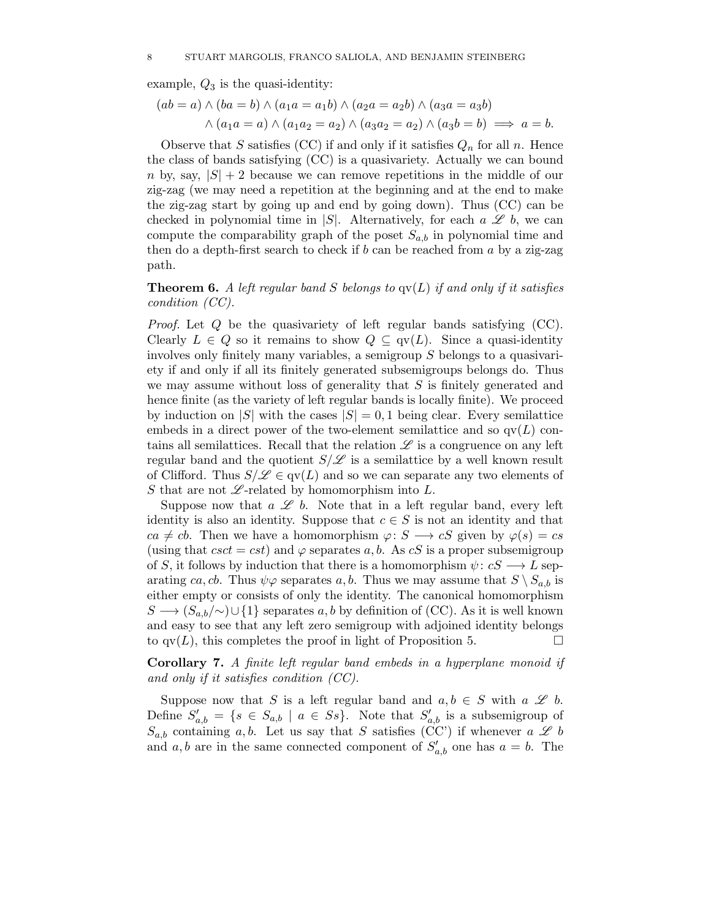example,  $Q_3$  is the quasi-identity:

$$
(ab = a) \land (ba = b) \land (a_1a = a_1b) \land (a_2a = a_2b) \land (a_3a = a_3b)
$$
  
 
$$
\land (a_1a = a) \land (a_1a_2 = a_2) \land (a_3a_2 = a_2) \land (a_3b = b) \implies a = b.
$$

Observe that S satisfies (CC) if and only if it satisfies  $Q_n$  for all n. Hence the class of bands satisfying (CC) is a quasivariety. Actually we can bound n by, say,  $|S| + 2$  because we can remove repetitions in the middle of our zig-zag (we may need a repetition at the beginning and at the end to make the zig-zag start by going up and end by going down). Thus (CC) can be checked in polynomial time in  $|S|$ . Alternatively, for each  $a \mathscr{L} b$ , we can compute the comparability graph of the poset  $S_{a,b}$  in polynomial time and then do a depth-first search to check if  $b$  can be reached from  $a$  by a zig-zag path.

**Theorem 6.** *A left regular band* S *belongs to* qv(L) *if and only if it satisfies condition (CC).*

*Proof.* Let Q be the quasivariety of left regular bands satisfying (CC). Clearly  $L \in Q$  so it remains to show  $Q \subseteq qV(L)$ . Since a quasi-identity involves only finitely many variables, a semigroup S belongs to a quasivariety if and only if all its finitely generated subsemigroups belongs do. Thus we may assume without loss of generality that  $S$  is finitely generated and hence finite (as the variety of left regular bands is locally finite). We proceed by induction on  $|S|$  with the cases  $|S| = 0, 1$  being clear. Every semilattice embeds in a direct power of the two-element semilattice and so  $qv(L)$  contains all semilattices. Recall that the relation *L* is a congruence on any left regular band and the quotient  $S/Z$  is a semilattice by a well known result of Clifford. Thus  $S/\mathscr{L} \in qV(L)$  and so we can separate any two elements of S that are not  $\mathscr{L}\text{-related by homomorphism into }L.$ 

Suppose now that  $a \mathcal{L} b$ . Note that in a left regular band, every left identity is also an identity. Suppose that  $c \in S$  is not an identity and that  $ca \neq cb$ . Then we have a homomorphism  $\varphi: S \longrightarrow cS$  given by  $\varphi(s) = cs$ (using that  $csct = cst$ ) and  $\varphi$  separates a, b. As cS is a proper subsemigroup of S, it follows by induction that there is a homomorphism  $\psi: cS \longrightarrow L$  separating ca, cb. Thus  $\psi\varphi$  separates a, b. Thus we may assume that  $S \setminus S_{a,b}$  is either empty or consists of only the identity. The canonical homomorphism  $S \longrightarrow (S_{a,b}/\sim) \cup \{1\}$  separates a, b by definition of (CC). As it is well known and easy to see that any left zero semigroup with adjoined identity belongs to  $qv(L)$ , this completes the proof in light of Proposition 5.

**Corollary 7.** *A finite left regular band embeds in a hyperplane monoid if and only if it satisfies condition (CC).*

Suppose now that S is a left regular band and  $a, b \in S$  with  $a \mathscr{L} b$ . Define  $S'_{a,b} = \{s \in S_{a,b} \mid a \in Ss\}$ . Note that  $S'_{a,b}$  is a subsemigroup of  $S_{a,b}$  containing a, b. Let us say that S satisfies (CC') if whenever a L b and a, b are in the same connected component of  $S'_{a,b}$  one has  $a = b$ . The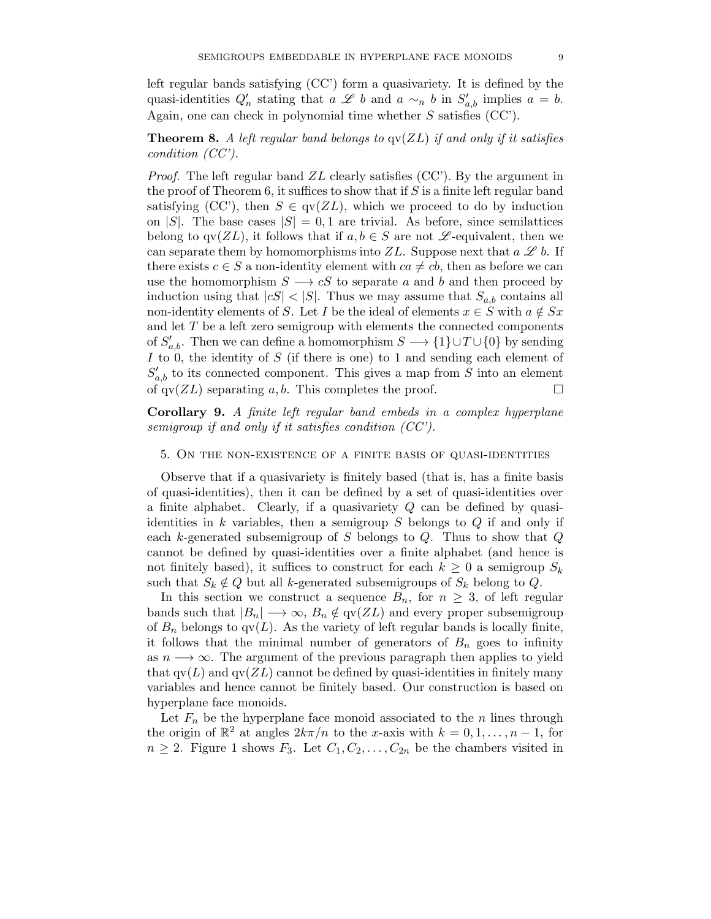left regular bands satisfying (CC') form a quasivariety. It is defined by the quasi-identities  $Q'_n$  stating that  $a \mathcal{L} b$  and  $a \sim_n b$  in  $S'_{a,b}$  implies  $a = b$ . Again, one can check in polynomial time whether S satisfies (CC').

# **Theorem 8.** *A left regular band belongs to* qv(ZL) *if and only if it satisfies condition (CC').*

*Proof.* The left regular band ZL clearly satisfies (CC'). By the argument in the proof of Theorem 6, it suffices to show that if  $S$  is a finite left regular band satisfying (CC'), then  $S \in qv(ZL)$ , which we proceed to do by induction on |S|. The base cases  $|S| = 0, 1$  are trivial. As before, since semilattices belong to  $qv(ZL)$ , it follows that if  $a, b \in S$  are not  $\mathscr L$ -equivalent, then we can separate them by homomorphisms into  $ZL$ . Suppose next that  $a \mathscr{L} b$ . If there exists  $c \in S$  a non-identity element with  $ca \neq cb$ , then as before we can use the homomorphism  $S \longrightarrow cS$  to separate a and b and then proceed by induction using that  $|cS| < |S|$ . Thus we may assume that  $S_{a,b}$  contains all non-identity elements of S. Let I be the ideal of elements  $x \in S$  with  $a \notin Sx$ and let T be a left zero semigroup with elements the connected components of  $S'_{a,b}$ . Then we can define a homomorphism  $S \longrightarrow \{1\} \cup T \cup \{0\}$  by sending I to 0, the identity of  $S$  (if there is one) to 1 and sending each element of  $S'_{a,b}$  to its connected component. This gives a map from S into an element of  $qv(ZL)$  separating a, b. This completes the proof.  $\Box$ 

**Corollary 9.** *A finite left regular band embeds in a complex hyperplane semigroup if and only if it satisfies condition (CC').*

# 5. On the non-existence of a finite basis of quasi-identities

Observe that if a quasivariety is finitely based (that is, has a finite basis of quasi-identities), then it can be defined by a set of quasi-identities over a finite alphabet. Clearly, if a quasivariety  $Q$  can be defined by quasiidentities in  $k$  variables, then a semigroup  $S$  belongs to  $Q$  if and only if each k-generated subsemigroup of S belongs to  $Q$ . Thus to show that  $Q$ cannot be defined by quasi-identities over a finite alphabet (and hence is not finitely based), it suffices to construct for each  $k \geq 0$  a semigroup  $S_k$ such that  $S_k \notin Q$  but all k-generated subsemigroups of  $S_k$  belong to Q.

In this section we construct a sequence  $B_n$ , for  $n \geq 3$ , of left regular bands such that  $|B_n| \longrightarrow \infty$ ,  $B_n \notin qv(ZL)$  and every proper subsemigroup of  $B_n$  belongs to  $qv(L)$ . As the variety of left regular bands is locally finite, it follows that the minimal number of generators of  $B_n$  goes to infinity as  $n \longrightarrow \infty$ . The argument of the previous paragraph then applies to yield that  $qv(L)$  and  $qv(ZL)$  cannot be defined by quasi-identities in finitely many variables and hence cannot be finitely based. Our construction is based on hyperplane face monoids.

Let  $F_n$  be the hyperplane face monoid associated to the n lines through the origin of  $\mathbb{R}^2$  at angles  $2k\pi/n$  to the x-axis with  $k = 0, 1, \ldots, n-1$ , for  $n \geq 2$ . Figure 1 shows  $F_3$ . Let  $C_1, C_2, \ldots, C_{2n}$  be the chambers visited in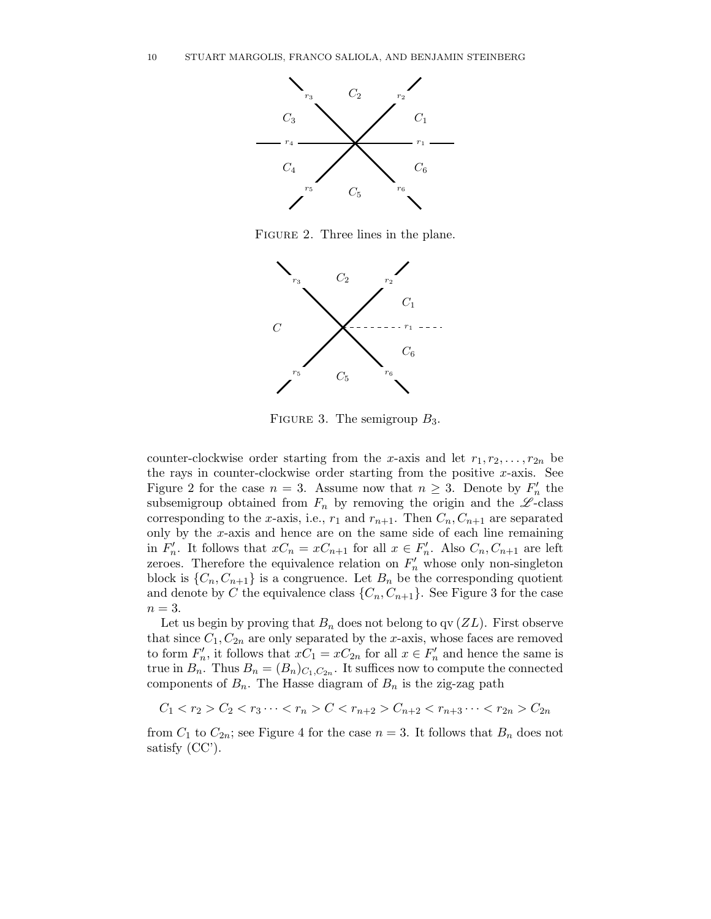

FIGURE 2. Three lines in the plane.



FIGURE 3. The semigroup  $B_3$ .

counter-clockwise order starting from the x-axis and let  $r_1, r_2, \ldots, r_{2n}$  be the rays in counter-clockwise order starting from the positive  $x$ -axis. See Figure 2 for the case  $n = 3$ . Assume now that  $n \geq 3$ . Denote by  $F'_n$  the subsemigroup obtained from  $F_n$  by removing the origin and the  $\mathscr{L}$ -class corresponding to the x-axis, i.e.,  $r_1$  and  $r_{n+1}$ . Then  $C_n, C_{n+1}$  are separated only by the  $x$ -axis and hence are on the same side of each line remaining in  $F'_n$ . It follows that  $xC_n = xC_{n+1}$  for all  $x \in F'_n$ . Also  $C_n, C_{n+1}$  are left zeroes. Therefore the equivalence relation on  $F'_n$  whose only non-singleton block is  $\{C_n, C_{n+1}\}\$ is a congruence. Let  $B_n$  be the corresponding quotient and denote by C the equivalence class  $\{C_n, C_{n+1}\}\)$ . See Figure 3 for the case  $n=3$ .

Let us begin by proving that  $B_n$  does not belong to qv  $(ZL)$ . First observe that since  $C_1, C_{2n}$  are only separated by the x-axis, whose faces are removed to form  $F'_n$ , it follows that  $xC_1 = xC_{2n}$  for all  $x \in F'_n$  and hence the same is true in  $B_n$ . Thus  $B_n = (B_n)_{C_1, C_{2n}}$ . It suffices now to compute the connected components of  $B_n$ . The Hasse diagram of  $B_n$  is the zig-zag path

 $C_1 < r_2 > C_2 < r_3 \cdots < r_n > C < r_{n+2} > C_{n+2} < r_{n+3} \cdots < r_{2n} > C_{2n}$ 

from  $C_1$  to  $C_{2n}$ ; see Figure 4 for the case  $n = 3$ . It follows that  $B_n$  does not satisfy (CC').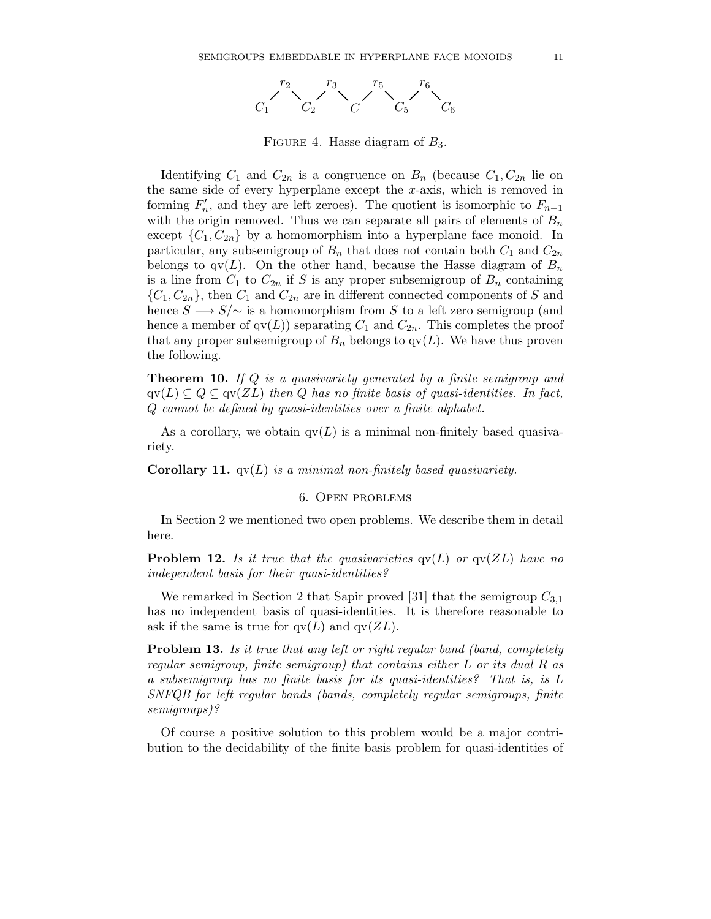

FIGURE 4. Hasse diagram of  $B_3$ .

Identifying  $C_1$  and  $C_{2n}$  is a congruence on  $B_n$  (because  $C_1, C_{2n}$  lie on the same side of every hyperplane except the  $x$ -axis, which is removed in forming  $F'_n$ , and they are left zeroes). The quotient is isomorphic to  $F_{n-1}$ with the origin removed. Thus we can separate all pairs of elements of  $B_n$ except  $\{C_1, C_{2n}\}\$  by a homomorphism into a hyperplane face monoid. In particular, any subsemigroup of  $B_n$  that does not contain both  $C_1$  and  $C_{2n}$ belongs to  $qv(L)$ . On the other hand, because the Hasse diagram of  $B_n$ is a line from  $C_1$  to  $C_{2n}$  if S is any proper subsemigroup of  $B_n$  containing  $\{C_1, C_{2n}\}\$ , then  $C_1$  and  $C_{2n}$  are in different connected components of S and hence  $S \longrightarrow S/\sim$  is a homomorphism from S to a left zero semigroup (and hence a member of  $qv(L)$  separating  $C_1$  and  $C_{2n}$ . This completes the proof that any proper subsemigroup of  $B_n$  belongs to  $qv(L)$ . We have thus proven the following.

**Theorem 10.** *If* Q *is a quasivariety generated by a finite semigroup and*  $qv(L) \subseteq Q \subseteq qv(ZL)$  *then* Q *has no finite basis of quasi-identities. In fact,* Q *cannot be defined by quasi-identities over a finite alphabet.*

As a corollary, we obtain  $qv(L)$  is a minimal non-finitely based quasivariety.

**Corollary 11.** qv(L) *is a minimal non-finitely based quasivariety.*

### 6. Open problems

In Section 2 we mentioned two open problems. We describe them in detail here.

**Problem 12.** *Is it true that the quasivarieties*  $qv(L)$  *or*  $qv(ZL)$  *have no independent basis for their quasi-identities?*

We remarked in Section 2 that Sapir proved [31] that the semigroup  $C_{3,1}$ has no independent basis of quasi-identities. It is therefore reasonable to ask if the same is true for  $qv(L)$  and  $qv(ZL)$ .

**Problem 13.** *Is it true that any left or right regular band (band, completely regular semigroup, finite semigroup) that contains either* L *or its dual* R *as a subsemigroup has no finite basis for its quasi-identities? That is, is* L *SNFQB for left regular bands (bands, completely regular semigroups, finite semigroups)?*

Of course a positive solution to this problem would be a major contribution to the decidability of the finite basis problem for quasi-identities of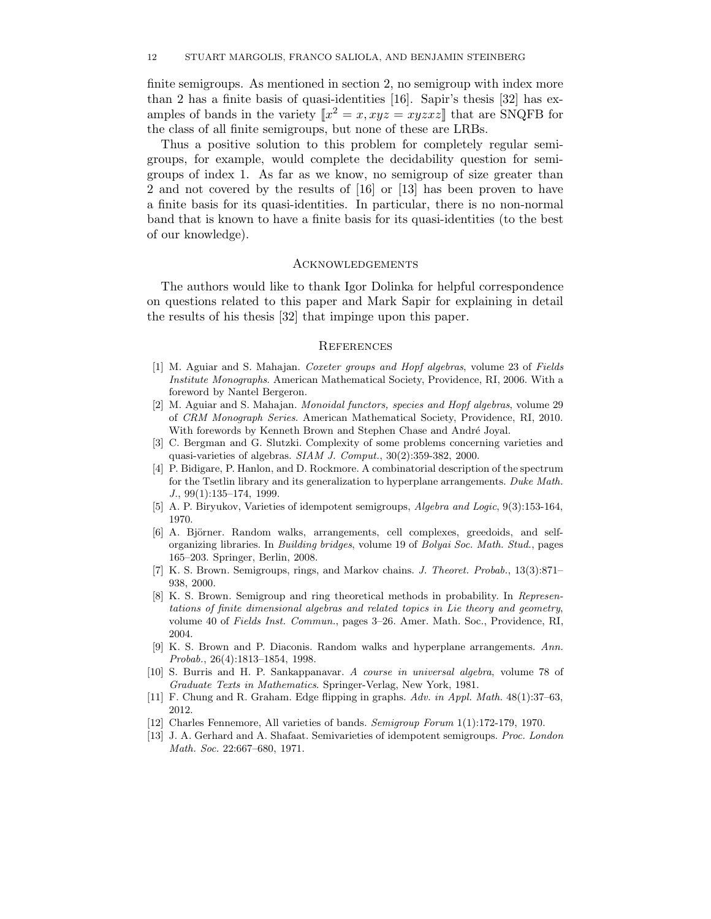finite semigroups. As mentioned in section 2, no semigroup with index more than 2 has a finite basis of quasi-identities [16]. Sapir's thesis [32] has examples of bands in the variety  $\llbracket x^2 = x, xyz = xyzxz \rrbracket$  that are SNQFB for the class of all finite semigroups, but none of these are LRBs.

Thus a positive solution to this problem for completely regular semigroups, for example, would complete the decidability question for semigroups of index 1. As far as we know, no semigroup of size greater than 2 and not covered by the results of [16] or [13] has been proven to have a finite basis for its quasi-identities. In particular, there is no non-normal band that is known to have a finite basis for its quasi-identities (to the best of our knowledge).

#### Acknowledgements

The authors would like to thank Igor Dolinka for helpful correspondence on questions related to this paper and Mark Sapir for explaining in detail the results of his thesis [32] that impinge upon this paper.

#### **REFERENCES**

- [1] M. Aguiar and S. Mahajan. Coxeter groups and Hopf algebras, volume 23 of Fields Institute Monographs. American Mathematical Society, Providence, RI, 2006. With a foreword by Nantel Bergeron.
- [2] M. Aguiar and S. Mahajan. Monoidal functors, species and Hopf algebras, volume 29 of CRM Monograph Series. American Mathematical Society, Providence, RI, 2010. With forewords by Kenneth Brown and Stephen Chase and André Joyal.
- [3] C. Bergman and G. Slutzki. Complexity of some problems concerning varieties and quasi-varieties of algebras. SIAM J. Comput., 30(2):359-382, 2000.
- [4] P. Bidigare, P. Hanlon, and D. Rockmore. A combinatorial description of the spectrum for the Tsetlin library and its generalization to hyperplane arrangements. Duke Math.  $J., 99(1):135-174, 1999.$
- [5] A. P. Biryukov, Varieties of idempotent semigroups, Algebra and Logic, 9(3):153-164, 1970.
- [6] A. Björner. Random walks, arrangements, cell complexes, greedoids, and selforganizing libraries. In Building bridges, volume 19 of Bolyai Soc. Math. Stud., pages 165–203. Springer, Berlin, 2008.
- [7] K. S. Brown. Semigroups, rings, and Markov chains. J. Theoret. Probab., 13(3):871– 938, 2000.
- [8] K. S. Brown. Semigroup and ring theoretical methods in probability. In Representations of finite dimensional algebras and related topics in Lie theory and geometry, volume 40 of Fields Inst. Commun., pages 3–26. Amer. Math. Soc., Providence, RI, 2004.
- [9] K. S. Brown and P. Diaconis. Random walks and hyperplane arrangements. Ann. Probab., 26(4):1813–1854, 1998.
- [10] S. Burris and H. P. Sankappanavar. A course in universal algebra, volume 78 of Graduate Texts in Mathematics. Springer-Verlag, New York, 1981.
- [11] F. Chung and R. Graham. Edge flipping in graphs. Adv. in Appl. Math. 48(1):37–63, 2012.
- [12] Charles Fennemore, All varieties of bands. Semigroup Forum 1(1):172-179, 1970.
- [13] J. A. Gerhard and A. Shafaat. Semivarieties of idempotent semigroups. Proc. London Math. Soc. 22:667–680, 1971.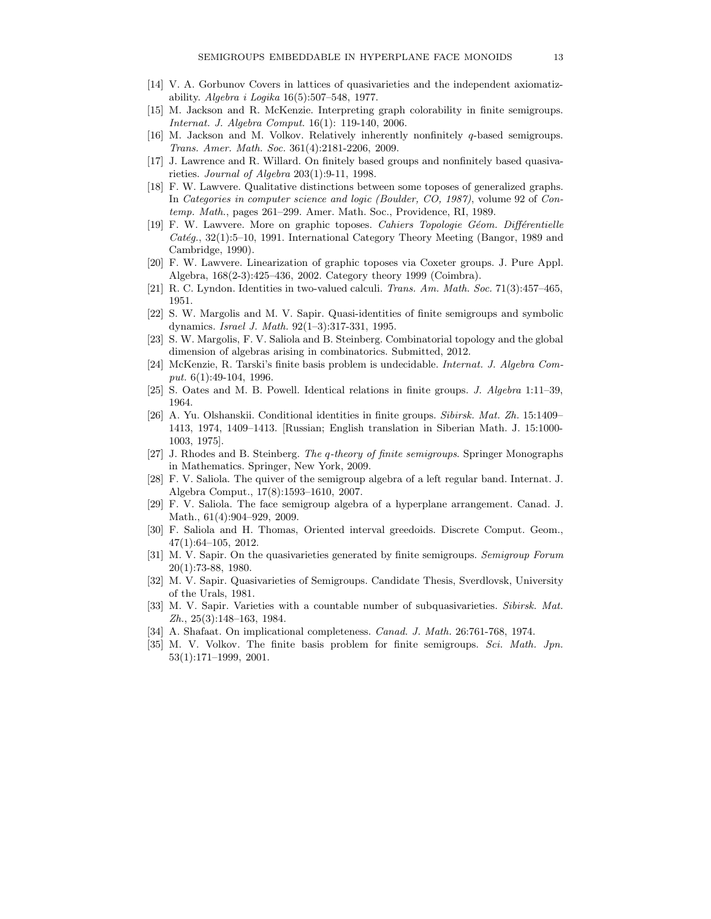- [14] V. A. Gorbunov Covers in lattices of quasivarieties and the independent axiomatizability. Algebra i Logika 16(5):507–548, 1977.
- [15] M. Jackson and R. McKenzie. Interpreting graph colorability in finite semigroups. Internat. J. Algebra Comput. 16(1): 119-140, 2006.
- [16] M. Jackson and M. Volkov. Relatively inherently nonfinitely *q*-based semigroups. Trans. Amer. Math. Soc. 361(4):2181-2206, 2009.
- [17] J. Lawrence and R. Willard. On finitely based groups and nonfinitely based quasivarieties. Journal of Algebra 203(1):9-11, 1998.
- [18] F. W. Lawvere. Qualitative distinctions between some toposes of generalized graphs. In Categories in computer science and logic (Boulder, CO, 1987), volume 92 of Contemp. Math., pages 261–299. Amer. Math. Soc., Providence, RI, 1989.
- [19] F. W. Lawvere. More on graphic toposes. Cahiers Topologie Géom. Différentielle  $Cat\acute{e}g.$ , 32(1):5–10, 1991. International Category Theory Meeting (Bangor, 1989 and Cambridge, 1990).
- [20] F. W. Lawvere. Linearization of graphic toposes via Coxeter groups. J. Pure Appl. Algebra, 168(2-3):425–436, 2002. Category theory 1999 (Coimbra).
- [21] R. C. Lyndon. Identities in two-valued calculi. Trans. Am. Math. Soc. 71(3):457–465, 1951.
- [22] S. W. Margolis and M. V. Sapir. Quasi-identities of finite semigroups and symbolic dynamics. Israel J. Math. 92(1–3):317-331, 1995.
- [23] S. W. Margolis, F. V. Saliola and B. Steinberg. Combinatorial topology and the global dimension of algebras arising in combinatorics. Submitted, 2012.
- [24] McKenzie, R. Tarski's finite basis problem is undecidable. Internat. J. Algebra Comput. 6(1):49-104, 1996.
- [25] S. Oates and M. B. Powell. Identical relations in finite groups. J. Algebra 1:11–39, 1964.
- [26] A. Yu. Olshanskii. Conditional identities in finite groups. Sibirsk. Mat. Zh. 15:1409– 1413, 1974, 1409–1413. [Russian; English translation in Siberian Math. J. 15:1000- 1003, 1975].
- [27] J. Rhodes and B. Steinberg. The *q*-theory of finite semigroups. Springer Monographs in Mathematics. Springer, New York, 2009.
- [28] F. V. Saliola. The quiver of the semigroup algebra of a left regular band. Internat. J. Algebra Comput., 17(8):1593–1610, 2007.
- [29] F. V. Saliola. The face semigroup algebra of a hyperplane arrangement. Canad. J. Math., 61(4):904–929, 2009.
- [30] F. Saliola and H. Thomas, Oriented interval greedoids. Discrete Comput. Geom., 47(1):64–105, 2012.
- [31] M. V. Sapir. On the quasivarieties generated by finite semigroups. Semigroup Forum 20(1):73-88, 1980.
- [32] M. V. Sapir. Quasivarieties of Semigroups. Candidate Thesis, Sverdlovsk, University of the Urals, 1981.
- [33] M. V. Sapir. Varieties with a countable number of subquasivarieties. Sibirsk. Mat. Zh., 25(3):148–163, 1984.
- [34] A. Shafaat. On implicational completeness. Canad. J. Math. 26:761-768, 1974.
- [35] M. V. Volkov. The finite basis problem for finite semigroups. Sci. Math. Jpn. 53(1):171–1999, 2001.